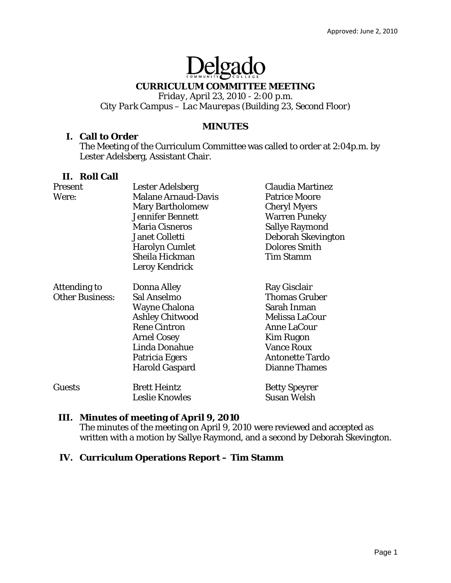# Delgado

# **CURRICULUM COMMITTEE MEETING**

*Friday, April 23, 2010 - 2:00 p.m. City Park Campus – Lac Maurepas (Building 23, Second Floor)* 

#### **MINUTES**

#### **I. Call to Order**

The Meeting of the Curriculum Committee was called to order at 2:04p.m. by Lester Adelsberg, Assistant Chair.

## **II. Roll Call**

| Present                | Lester Adelsberg           | <b>Claudia Martinez</b> |
|------------------------|----------------------------|-------------------------|
| Were:                  | <b>Malane Arnaud-Davis</b> | <b>Patrice Moore</b>    |
|                        | <b>Mary Bartholomew</b>    | <b>Cheryl Myers</b>     |
|                        | <b>Jennifer Bennett</b>    | <b>Warren Puneky</b>    |
|                        | <b>Maria Cisneros</b>      | <b>Sallye Raymond</b>   |
|                        | <b>Janet Colletti</b>      | Deborah Skevington      |
|                        | <b>Harolyn Cumlet</b>      | <b>Dolores Smith</b>    |
|                        | Sheila Hickman             | <b>Tim Stamm</b>        |
|                        | Leroy Kendrick             |                         |
| <b>Attending to</b>    | Donna Alley                | Ray Gisclair            |
| <b>Other Business:</b> | Sal Anselmo                | <b>Thomas Gruber</b>    |
|                        | <b>Wayne Chalona</b>       | Sarah Inman             |
|                        | <b>Ashley Chitwood</b>     | Melissa LaCour          |
|                        | <b>Rene Cintron</b>        | <b>Anne LaCour</b>      |
|                        | <b>Arnel Cosey</b>         | <b>Kim Rugon</b>        |
|                        | Linda Donahue              | <b>Vance Roux</b>       |
|                        | Patricia Egers             | <b>Antonette Tardo</b>  |
|                        | <b>Harold Gaspard</b>      | <b>Dianne Thames</b>    |
| <b>Guests</b>          | <b>Brett Heintz</b>        | <b>Betty Speyrer</b>    |
|                        | <b>Leslie Knowles</b>      | <b>Susan Welsh</b>      |

# **III. Minutes of meeting of April 9, 2010**

The minutes of the meeting on April 9, 2010 were reviewed and accepted as written with a motion by Sallye Raymond, and a second by Deborah Skevington.

#### **IV. Curriculum Operations Report – Tim Stamm**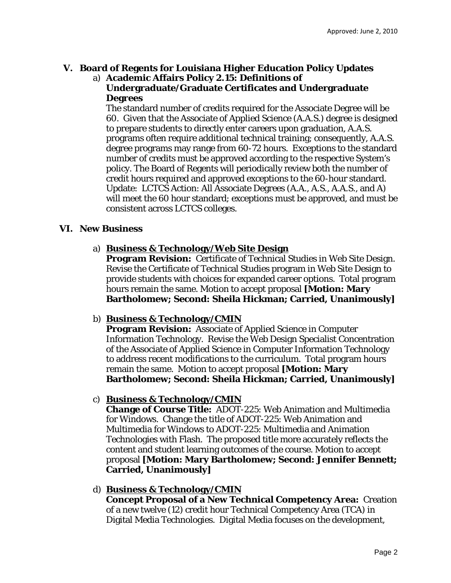# **V. Board of Regents for Louisiana Higher Education Policy Updates**

a) **Academic Affairs Policy 2.15: Definitions of Undergraduate/Graduate Certificates and Undergraduate Degrees** 

The standard number of credits required for the Associate Degree will be 60. Given that the Associate of Applied Science (A.A.S.) degree is designed to prepare students to directly enter careers upon graduation, A.A.S. programs often require additional technical training; consequently, A.A.S. degree programs may range from 60-72 hours. Exceptions to the standard number of credits must be approved according to the respective System's policy. The Board of Regents will periodically review both the number of credit hours required and approved exceptions to the 60-hour standard. Update: LCTCS Action: All Associate Degrees (A.A., A.S., A.A.S., and A) will meet the 60 hour standard; exceptions must be approved, and must be consistent across LCTCS colleges.

# **VI. New Business**

## a) **Business & Technology/Web Site Design**

**Program Revision:** Certificate of Technical Studies in Web Site Design. Revise the Certificate of Technical Studies program in Web Site Design to provide students with choices for expanded career options. Total program hours remain the same. Motion to accept proposal **[Motion: Mary Bartholomew; Second: Sheila Hickman; Carried, Unanimously]** 

#### b) **Business & Technology/CMIN**

**Program Revision:** Associate of Applied Science in Computer Information Technology. Revise the Web Design Specialist Concentration of the Associate of Applied Science in Computer Information Technology to address recent modifications to the curriculum. Total program hours remain the same. Motion to accept proposal **[Motion: Mary Bartholomew; Second: Sheila Hickman; Carried, Unanimously]**

# c) **Business & Technology/CMIN**

**Change of Course Title:** ADOT-225: Web Animation and Multimedia for Windows. Change the title of ADOT-225: Web Animation and Multimedia for Windows to ADOT-225: Multimedia and Animation Technologies with Flash. The proposed title more accurately reflects the content and student learning outcomes of the course. Motion to accept proposal **[Motion: Mary Bartholomew; Second: Jennifer Bennett; Carried, Unanimously]**

#### d) **Business & Technology/CMIN**

**Concept Proposal of a New Technical Competency Area:** Creation of a new twelve (12) credit hour Technical Competency Area (TCA) in Digital Media Technologies. Digital Media focuses on the development,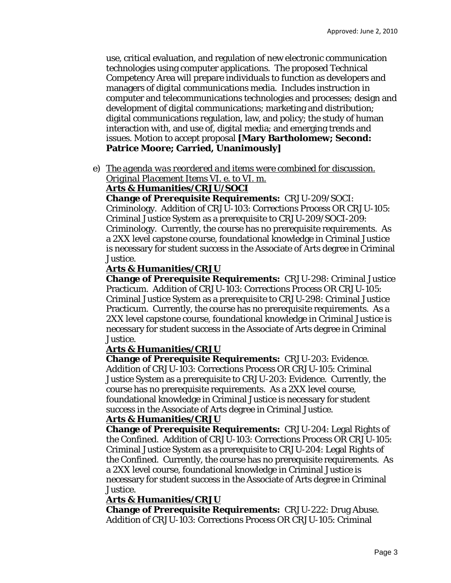use, critical evaluation, and regulation of new electronic communication technologies using computer applications. The proposed Technical Competency Area will prepare individuals to function as developers and managers of digital communications media. Includes instruction in computer and telecommunications technologies and processes; design and development of digital communications; marketing and distribution; digital communications regulation, law, and policy; the study of human interaction with, and use of, digital media; and emerging trends and issues. Motion to accept proposal **[Mary Bartholomew; Second: Patrice Moore; Carried, Unanimously]** 

e) *The agenda was reordered and items were combined for discussion. Original Placement Items VI. e. to VI. m.* 

## **Arts & Humanities/CRJU/SOCI**

**Change of Prerequisite Requirements:** CRJU-209/SOCI: Criminology. Addition of CRJU-103: Corrections Process OR CRJU-105: Criminal Justice System as a prerequisite to CRJU-209/SOCI-209: Criminology. Currently, the course has no prerequisite requirements. As a 2XX level capstone course, foundational knowledge in Criminal Justice is necessary for student success in the Associate of Arts degree in Criminal Justice.

## **Arts & Humanities/CRJU**

**Change of Prerequisite Requirements:** CRJU-298: Criminal Justice Practicum. Addition of CRJU-103: Corrections Process OR CRJU-105: Criminal Justice System as a prerequisite to CRJU-298: Criminal Justice Practicum. Currently, the course has no prerequisite requirements. As a 2XX level capstone course, foundational knowledge in Criminal Justice is necessary for student success in the Associate of Arts degree in Criminal Justice.

#### **Arts & Humanities/CRJU**

**Change of Prerequisite Requirements:** CRJU-203: Evidence. Addition of CRJU-103: Corrections Process OR CRJU-105: Criminal Justice System as a prerequisite to CRJU-203: Evidence. Currently, the course has no prerequisite requirements. As a 2XX level course, foundational knowledge in Criminal Justice is necessary for student success in the Associate of Arts degree in Criminal Justice.

#### **Arts & Humanities/CRJU**

**Change of Prerequisite Requirements:** CRJU-204: Legal Rights of the Confined. Addition of CRJU-103: Corrections Process OR CRJU-105: Criminal Justice System as a prerequisite to CRJU-204: Legal Rights of the Confined. Currently, the course has no prerequisite requirements. As a 2XX level course, foundational knowledge in Criminal Justice is necessary for student success in the Associate of Arts degree in Criminal Justice.

#### **Arts & Humanities/CRJU**

**Change of Prerequisite Requirements:** CRJU-222: Drug Abuse. Addition of CRJU-103: Corrections Process OR CRJU-105: Criminal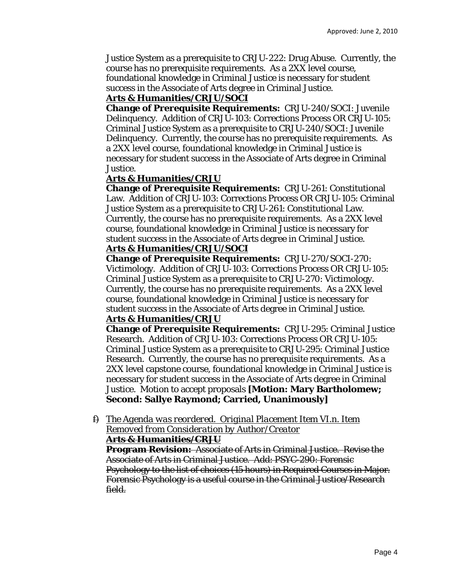Justice System as a prerequisite to CRJU-222: Drug Abuse. Currently, the course has no prerequisite requirements. As a 2XX level course, foundational knowledge in Criminal Justice is necessary for student

success in the Associate of Arts degree in Criminal Justice.

#### **Arts & Humanities/CRJU/SOCI**

**Change of Prerequisite Requirements:** CRJU-240/SOCI: Juvenile Delinquency. Addition of CRJU-103: Corrections Process OR CRJU-105: Criminal Justice System as a prerequisite to CRJU-240/SOCI: Juvenile Delinquency. Currently, the course has no prerequisite requirements. As a 2XX level course, foundational knowledge in Criminal Justice is necessary for student success in the Associate of Arts degree in Criminal Justice.

## **Arts & Humanities/CRJU**

**Change of Prerequisite Requirements:** CRJU-261: Constitutional Law. Addition of CRJU-103: Corrections Process OR CRJU-105: Criminal Justice System as a prerequisite to CRJU-261: Constitutional Law. Currently, the course has no prerequisite requirements. As a 2XX level course, foundational knowledge in Criminal Justice is necessary for student success in the Associate of Arts degree in Criminal Justice.

## **Arts & Humanities/CRJU/SOCI**

**Change of Prerequisite Requirements:** CRJU-270/SOCI-270: Victimology. Addition of CRJU-103: Corrections Process OR CRJU-105: Criminal Justice System as a prerequisite to CRJU-270: Victimology. Currently, the course has no prerequisite requirements. As a 2XX level course, foundational knowledge in Criminal Justice is necessary for student success in the Associate of Arts degree in Criminal Justice.

# **Arts & Humanities/CRJU**

**Change of Prerequisite Requirements:** CRJU-295: Criminal Justice Research. Addition of CRJU-103: Corrections Process OR CRJU-105: Criminal Justice System as a prerequisite to CRJU-295: Criminal Justice Research. Currently, the course has no prerequisite requirements. As a 2XX level capstone course, foundational knowledge in Criminal Justice is necessary for student success in the Associate of Arts degree in Criminal Justice. Motion to accept proposals **[Motion: Mary Bartholomew; Second: Sallye Raymond; Carried, Unanimously]**

f) *The Agenda was reordered. Original Placement Item VI.n. Item Removed from Consideration by Author/Creator*

#### **Arts & Humanities/CRJU**

**Program Revision:** Associate of Arts in Criminal Justice. Revise the Associate of Arts in Criminal Justice. Add: PSYC-290: Forensic Psychology to the list of choices (15 hours) in Required Courses in Major. Forensic Psychology is a useful course in the Criminal Justice/Research field.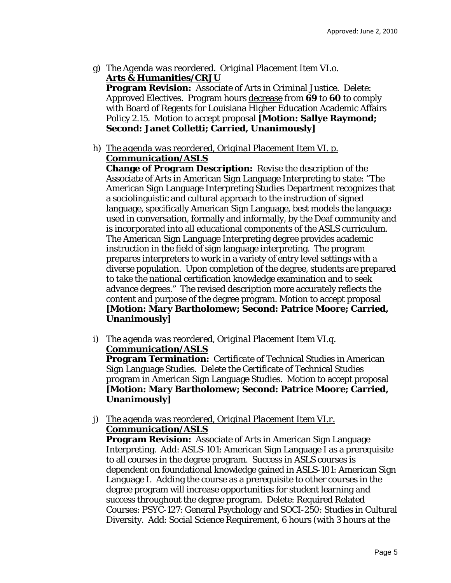- g) *The Agenda was reordered. Original Placement Item VI.o.*  **Arts & Humanities/CRJU Program Revision:** Associate of Arts in Criminal Justice. Delete: Approved Electives. Program hours decrease from **69** to **60** to comply with Board of Regents for Louisiana Higher Education Academic Affairs Policy 2.15. Motion to accept proposal **[Motion: Sallye Raymond; Second: Janet Colletti; Carried, Unanimously]**
- h) *The agenda was reordered, Original Placement Item VI. p.* **Communication/ASLS**

**Change of Program Description:** Revise the description of the Associate of Arts in American Sign Language Interpreting to state: "The American Sign Language Interpreting Studies Department recognizes that a sociolinguistic and cultural approach to the instruction of signed language, specifically American Sign Language, best models the language used in conversation, formally and informally, by the Deaf community and is incorporated into all educational components of the ASLS curriculum. The American Sign Language Interpreting degree provides academic instruction in the field of sign language interpreting. The program prepares interpreters to work in a variety of entry level settings with a diverse population. Upon completion of the degree, students are prepared to take the national certification knowledge examination and to seek advance degrees." The revised description more accurately reflects the content and purpose of the degree program. Motion to accept proposal **[Motion: Mary Bartholomew; Second: Patrice Moore; Carried, Unanimously]**

i) *The agenda was reordered, Original Placement Item VI.q*. **Communication/ASLS**

**Program Termination:** Certificate of Technical Studies in American Sign Language Studies. Delete the Certificate of Technical Studies program in American Sign Language Studies. Motion to accept proposal **[Motion: Mary Bartholomew; Second: Patrice Moore; Carried, Unanimously]**

j) *The agenda was reordered, Original Placement Item VI.r.* **Communication/ASLS**

**Program Revision:** Associate of Arts in American Sign Language Interpreting. Add: ASLS-101: American Sign Language I as a prerequisite to all courses in the degree program. Success in ASLS courses is dependent on foundational knowledge gained in ASLS-101: American Sign Language I. Adding the course as a prerequisite to other courses in the degree program will increase opportunities for student learning and success throughout the degree program. Delete: Required Related Courses: PSYC-127: General Psychology and SOCI-250: Studies in Cultural Diversity. Add: Social Science Requirement, 6 hours (with 3 hours at the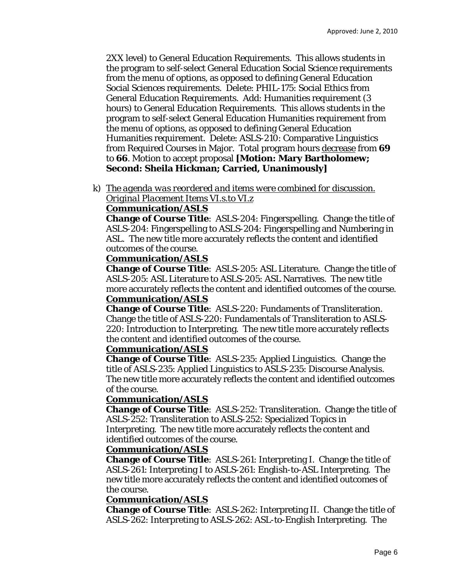2XX level) to General Education Requirements. This allows students in the program to self-select General Education Social Science requirements from the menu of options, as opposed to defining General Education Social Sciences requirements. Delete: PHIL-175: Social Ethics from General Education Requirements. Add: Humanities requirement (3 hours) to General Education Requirements. This allows students in the program to self-select General Education Humanities requirement from the menu of options, as opposed to defining General Education Humanities requirement. Delete: ASLS-210: Comparative Linguistics from Required Courses in Major. Total program hours decrease from **69** to **66**. Motion to accept proposal **[Motion: Mary Bartholomew; Second: Sheila Hickman; Carried, Unanimously]**

k) *The agenda was reordered and items were combined for discussion. Original Placement Items VI.s.to VI.z*

#### **Communication/ASLS**

**Change of Course Title**: ASLS-204: Fingerspelling. Change the title of ASLS-204: Fingerspelling to ASLS-204: Fingerspelling and Numbering in ASL. The new title more accurately reflects the content and identified outcomes of the course.

#### **Communication/ASLS**

**Change of Course Title**: ASLS-205: ASL Literature. Change the title of ASLS-205: ASL Literature to ASLS-205: ASL Narratives. The new title more accurately reflects the content and identified outcomes of the course. **Communication/ASLS**

**Change of Course Title**: ASLS-220: Fundaments of Transliteration. Change the title of ASLS-220: Fundamentals of Transliteration to ASLS-220: Introduction to Interpreting. The new title more accurately reflects the content and identified outcomes of the course.

#### **Communication/ASLS**

**Change of Course Title**: ASLS-235: Applied Linguistics. Change the title of ASLS-235: Applied Linguistics to ASLS-235: Discourse Analysis. The new title more accurately reflects the content and identified outcomes of the course.

#### **Communication/ASLS**

**Change of Course Title**: ASLS-252: Transliteration. Change the title of ASLS-252: Transliteration to ASLS-252: Specialized Topics in Interpreting. The new title more accurately reflects the content and identified outcomes of the course.

#### **Communication/ASLS**

**Change of Course Title**: ASLS-261: Interpreting I. Change the title of ASLS-261: Interpreting I to ASLS-261: English-to-ASL Interpreting. The new title more accurately reflects the content and identified outcomes of the course.

#### **Communication/ASLS**

**Change of Course Title**: ASLS-262: Interpreting II. Change the title of ASLS-262: Interpreting to ASLS-262: ASL-to-English Interpreting. The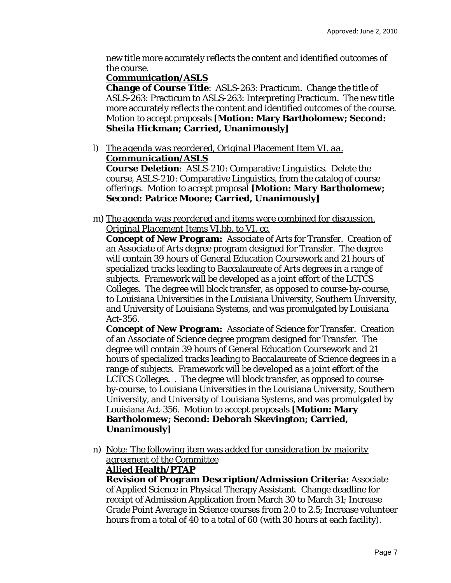new title more accurately reflects the content and identified outcomes of the course.

#### **Communication/ASLS**

**Change of Course Title**: ASLS-263: Practicum. Change the title of ASLS-263: Practicum to ASLS-263: Interpreting Practicum. The new title more accurately reflects the content and identified outcomes of the course. Motion to accept proposals **[Motion: Mary Bartholomew; Second: Sheila Hickman; Carried, Unanimously]**

l) *The agenda was reordered, Original Placement Item VI. aa.* **Communication/ASLS**

**Course Deletion**: ASLS-210: Comparative Linguistics. Delete the course, ASLS-210: Comparative Linguistics, from the catalog of course offerings. Motion to accept proposal **[Motion: Mary Bartholomew; Second: Patrice Moore; Carried, Unanimously]**

m) *The agenda was reordered and items were combined for discussion. Original Placement Items VI.bb. to VI. cc.*

**Concept of New Program:** Associate of Arts for Transfer. Creation of an Associate of Arts degree program designed for Transfer. The degree will contain 39 hours of General Education Coursework and 21 hours of specialized tracks leading to Baccalaureate of Arts degrees in a range of subjects. Framework will be developed as a joint effort of the LCTCS Colleges. The degree will block transfer, as opposed to course-by-course, to Louisiana Universities in the Louisiana University, Southern University, and University of Louisiana Systems, and was promulgated by Louisiana Act-356.

**Concept of New Program:** Associate of Science for Transfer. Creation of an Associate of Science degree program designed for Transfer. The degree will contain 39 hours of General Education Coursework and 21 hours of specialized tracks leading to Baccalaureate of Science degrees in a range of subjects. Framework will be developed as a joint effort of the LCTCS Colleges. . The degree will block transfer, as opposed to courseby-course, to Louisiana Universities in the Louisiana University, Southern University, and University of Louisiana Systems, and was promulgated by Louisiana Act-356. Motion to accept proposals **[Motion: Mary Bartholomew; Second: Deborah Skevington; Carried, Unanimously]** 

n) *Note: The following item was added for consideration by majority agreement of the Committee*

# **Allied Health/PTAP**

**Revision of Program Description/Admission Criteria:** Associate of Applied Science in Physical Therapy Assistant. Change deadline for receipt of Admission Application *from* March 30 *to* March 31; Increase Grade Point Average in Science courses *from* 2.0 *to* 2.5; Increase volunteer hours *from* a total of 40 *to* a total of 60 (with 30 hours at each facility).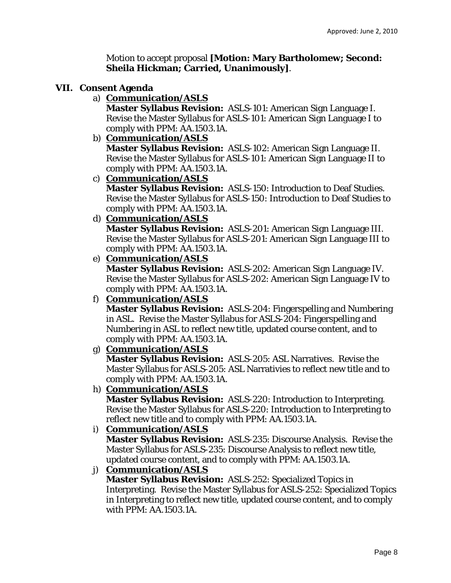Motion to accept proposal **[Motion: Mary Bartholomew; Second: Sheila Hickman; Carried, Unanimously]**.

#### **VII. Consent Agenda**

a) **Communication/ASLS**

**Master Syllabus Revision:** ASLS-101: American Sign Language I. Revise the Master Syllabus for ASLS-101: American Sign Language I to comply with PPM: AA.1503.1A.

#### b) **Communication/ASLS**

**Master Syllabus Revision:** ASLS-102: American Sign Language II. Revise the Master Syllabus for ASLS-101: American Sign Language II to comply with PPM: AA.1503.1A.

c) **Communication/ASLS**

**Master Syllabus Revision:** ASLS-150: Introduction to Deaf Studies. Revise the Master Syllabus for ASLS-150: Introduction to Deaf Studies to comply with PPM: AA.1503.1A.

d) **Communication/ASLS**

**Master Syllabus Revision:** ASLS-201: American Sign Language III. Revise the Master Syllabus for ASLS-201: American Sign Language III to comply with PPM: AA.1503.1A.

e) **Communication/ASLS**

**Master Syllabus Revision:** ASLS-202: American Sign Language IV. Revise the Master Syllabus for ASLS-202: American Sign Language IV to comply with PPM: AA.1503.1A.

f) **Communication/ASLS**

**Master Syllabus Revision:** ASLS-204: Fingerspelling and Numbering in ASL. Revise the Master Syllabus for ASLS-204: Fingerspelling and Numbering in ASL to reflect new title, updated course content, and to comply with PPM: AA.1503.1A.

g) **Communication/ASLS**

**Master Syllabus Revision:** ASLS-205: ASL Narratives. Revise the Master Syllabus for ASLS-205: ASL Narrativies to reflect new title and to comply with PPM: AA.1503.1A.

h) **Communication/ASLS**

**Master Syllabus Revision:** ASLS-220: Introduction to Interpreting. Revise the Master Syllabus for ASLS-220: Introduction to Interpreting to reflect new title and to comply with PPM: AA.1503.1A.

i) **Communication/ASLS**

**Master Syllabus Revision:** ASLS-235: Discourse Analysis. Revise the Master Syllabus for ASLS-235: Discourse Analysis to reflect new title, updated course content, and to comply with PPM: AA.1503.1A.

j) **Communication/ASLS**

**Master Syllabus Revision:** ASLS-252: Specialized Topics in Interpreting. Revise the Master Syllabus for ASLS-252: Specialized Topics in Interpreting to reflect new title, updated course content, and to comply with PPM: AA.1503.1A.